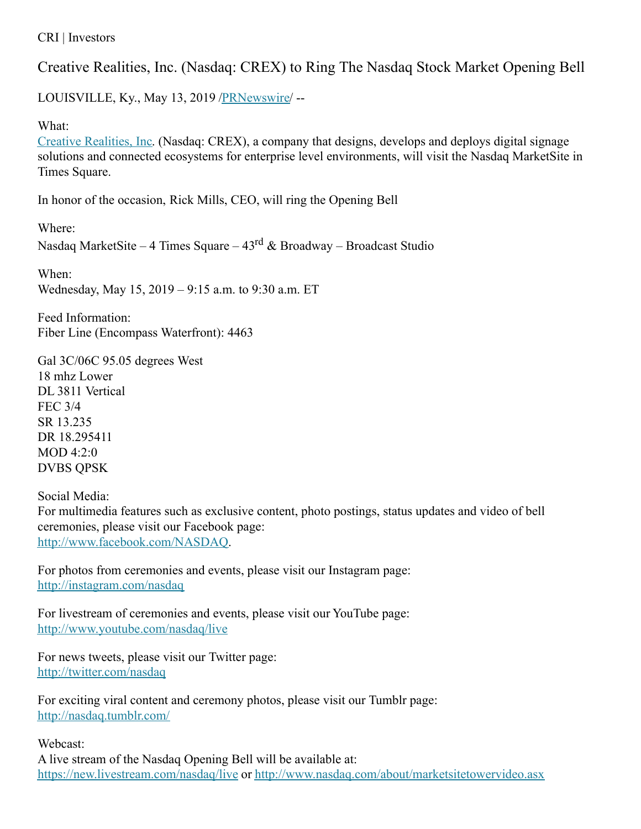CRI | Investors

Creative Realities, Inc. (Nasdaq: CREX) to Ring The Nasdaq Stock Market Opening Bell

LOUISVILLE, Ky., May 13, 2019 [/PRNewswire](http://www.prnewswire.com/)/ --

## What:

Creative [Realities,](https://c212.net/c/link/?t=0&l=en&o=2465138-1&h=3772892709&u=https%3A%2F%2Fcri.com%2F&a=Creative+Realities%2C+Inc) Inc. (Nasdaq: CREX), a company that designs, develops and deploys digital signage solutions and connected ecosystems for enterprise level environments, will visit the Nasdaq MarketSite in Times Square.

In honor of the occasion, Rick Mills, CEO, will ring the Opening Bell

Where:

Nasdaq MarketSite – 4 Times Square – 43<sup>rd</sup> & Broadway – Broadcast Studio

When: Wednesday, May 15, 2019 – 9:15 a.m. to 9:30 a.m. ET

Feed Information: Fiber Line (Encompass Waterfront): 4463

Gal 3C/06C 95.05 degrees West 18 mhz Lower DL 3811 Vertical FEC 3/4 SR 13.235 DR 18.295411 MOD 4:2:0 DVBS QPSK

Social Media: For multimedia features such as exclusive content, photo postings, status updates and video of bell ceremonies, please visit our Facebook page: [http://www.facebook.com/NASDAQ](https://c212.net/c/link/?t=0&l=en&o=2465138-1&h=3460043540&u=http%3A%2F%2Fwww.facebook.com%2FNASDAQ&a=http%3A%2F%2Fwww.facebook.com%2FNASDAQ).

For photos from ceremonies and events, please visit our Instagram page: [http://instagram.com/nasdaq](https://c212.net/c/link/?t=0&l=en&o=2465138-1&h=1380745489&u=http%3A%2F%2Finstagram.com%2Fnasdaq&a=http%3A%2F%2Finstagram.com%2Fnasdaq)

For livestream of ceremonies and events, please visit our YouTube page: [http://www.youtube.com/nasdaq/live](https://c212.net/c/link/?t=0&l=en&o=2465138-1&h=3909603905&u=http%3A%2F%2Fwww.youtube.com%2Fnasdaq%2Flive&a=http%3A%2F%2Fwww.youtube.com%2Fnasdaq%2Flive)

For news tweets, please visit our Twitter page: [http://twitter.com/nasdaq](https://c212.net/c/link/?t=0&l=en&o=2465138-1&h=1442473016&u=http%3A%2F%2Ftwitter.com%2Fnasdaq&a=http%3A%2F%2Ftwitter.com%2Fnasdaq)

For exciting viral content and ceremony photos, please visit our Tumblr page: [http://nasdaq.tumblr.com/](https://c212.net/c/link/?t=0&l=en&o=2465138-1&h=479255986&u=http%3A%2F%2Fnasdaq.tumblr.com%2F&a=http%3A%2F%2Fnasdaq.tumblr.com%2F)

Webcast:

A live stream of the Nasdaq Opening Bell will be available at: [https://new.livestream.com/nasdaq/live](https://c212.net/c/link/?t=0&l=en&o=2465138-1&h=3631746394&u=https%3A%2F%2Fnew.livestream.com%2Fnasdaq%2Flive&a=https%3A%2F%2Fnew.livestream.com%2Fnasdaq%2Flive) or [http://www.nasdaq.com/about/marketsitetowervideo.asx](https://c212.net/c/link/?t=0&l=en&o=2465138-1&h=3207787515&u=http%3A%2F%2Fwww.nasdaq.com%2Fabout%2Fmarketsitetowervideo.asx&a=http%3A%2F%2Fwww.nasdaq.com%2Fabout%2Fmarketsitetowervideo.asx)